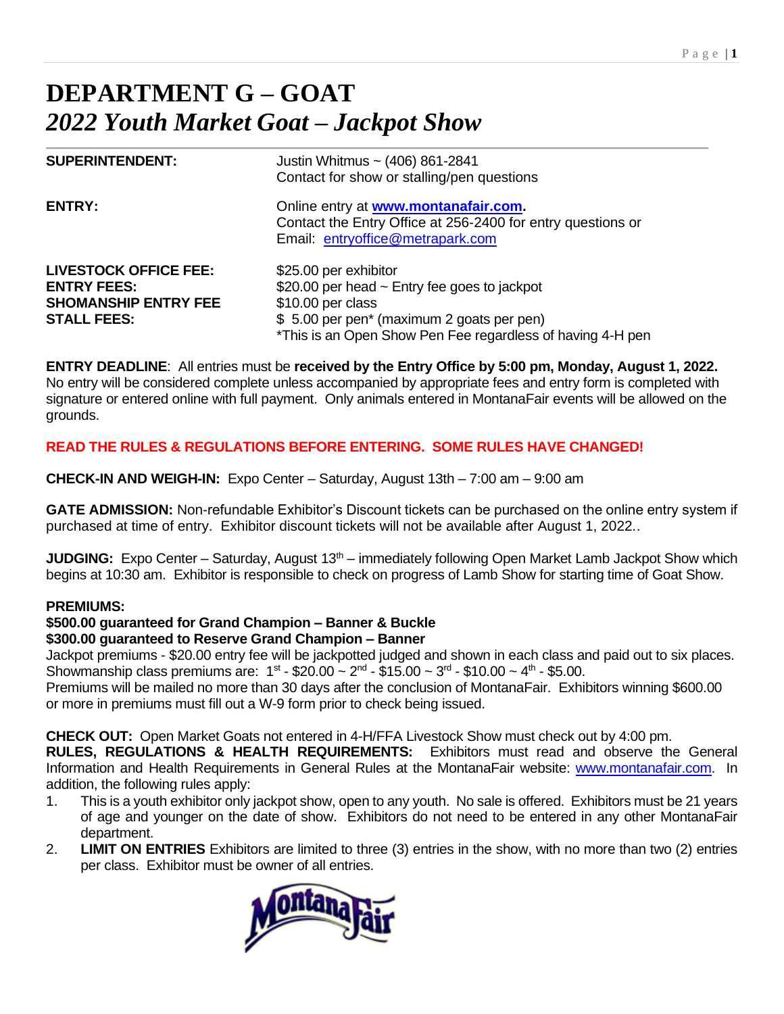# **DEPARTMENT G – GOAT** *2022 Youth Market Goat – Jackpot Show*

| <b>SUPERINTENDENT:</b>                                                                                  | Justin Whitmus ~ (406) 861-2841<br>Contact for show or stalling/pen questions                                                                                                                                          |
|---------------------------------------------------------------------------------------------------------|------------------------------------------------------------------------------------------------------------------------------------------------------------------------------------------------------------------------|
| <b>ENTRY:</b>                                                                                           | Online entry at www.montanafair.com.<br>Contact the Entry Office at 256-2400 for entry questions or<br>Email: entryoffice@metrapark.com                                                                                |
| <b>LIVESTOCK OFFICE FEE:</b><br><b>ENTRY FEES:</b><br><b>SHOMANSHIP ENTRY FEE</b><br><b>STALL FEES:</b> | \$25.00 per exhibitor<br>\$20.00 per head $\sim$ Entry fee goes to jackpot<br>\$10.00 per class<br>\$5.00 per pen <sup>*</sup> (maximum 2 goats per pen)<br>*This is an Open Show Pen Fee regardless of having 4-H pen |

**ENTRY DEADLINE**: All entries must be **received by the Entry Office by 5:00 pm, Monday, August 1, 2022.** No entry will be considered complete unless accompanied by appropriate fees and entry form is completed with signature or entered online with full payment. Only animals entered in MontanaFair events will be allowed on the grounds.

## **READ THE RULES & REGULATIONS BEFORE ENTERING. SOME RULES HAVE CHANGED!**

**CHECK-IN AND WEIGH-IN:** Expo Center – Saturday, August 13th – 7:00 am – 9:00 am

**GATE ADMISSION:** Non-refundable Exhibitor's Discount tickets can be purchased on the online entry system if purchased at time of entry. Exhibitor discount tickets will not be available after August 1, 2022..

**JUDGING:** Expo Center – Saturday, August 13<sup>th</sup> – immediately following Open Market Lamb Jackpot Show which begins at 10:30 am. Exhibitor is responsible to check on progress of Lamb Show for starting time of Goat Show.

#### **PREMIUMS:**

# **\$500.00 guaranteed for Grand Champion – Banner & Buckle**

#### **\$300.00 guaranteed to Reserve Grand Champion – Banner**

Jackpot premiums - \$20.00 entry fee will be jackpotted judged and shown in each class and paid out to six places. Showmanship class premiums are:  $1^{st}$  - \$20.00  $\sim 2^{nd}$  - \$15.00  $\sim 3^{rd}$  - \$10.00  $\sim 4^{th}$  - \$5.00.

Premiums will be mailed no more than 30 days after the conclusion of MontanaFair. Exhibitors winning \$600.00 or more in premiums must fill out a W-9 form prior to check being issued.

**CHECK OUT:** Open Market Goats not entered in 4-H/FFA Livestock Show must check out by 4:00 pm.

**RULES, REGULATIONS & HEALTH REQUIREMENTS:** Exhibitors must read and observe the General Information and Health Requirements in General Rules at the MontanaFair website: [www.montanafair.com.](http://www.montanafair.com/) In addition, the following rules apply:

- 1. This is a youth exhibitor only jackpot show, open to any youth. No sale is offered. Exhibitors must be 21 years of age and younger on the date of show. Exhibitors do not need to be entered in any other MontanaFair department.
- 2. **LIMIT ON ENTRIES** Exhibitors are limited to three (3) entries in the show, with no more than two (2) entries per class. Exhibitor must be owner of all entries.

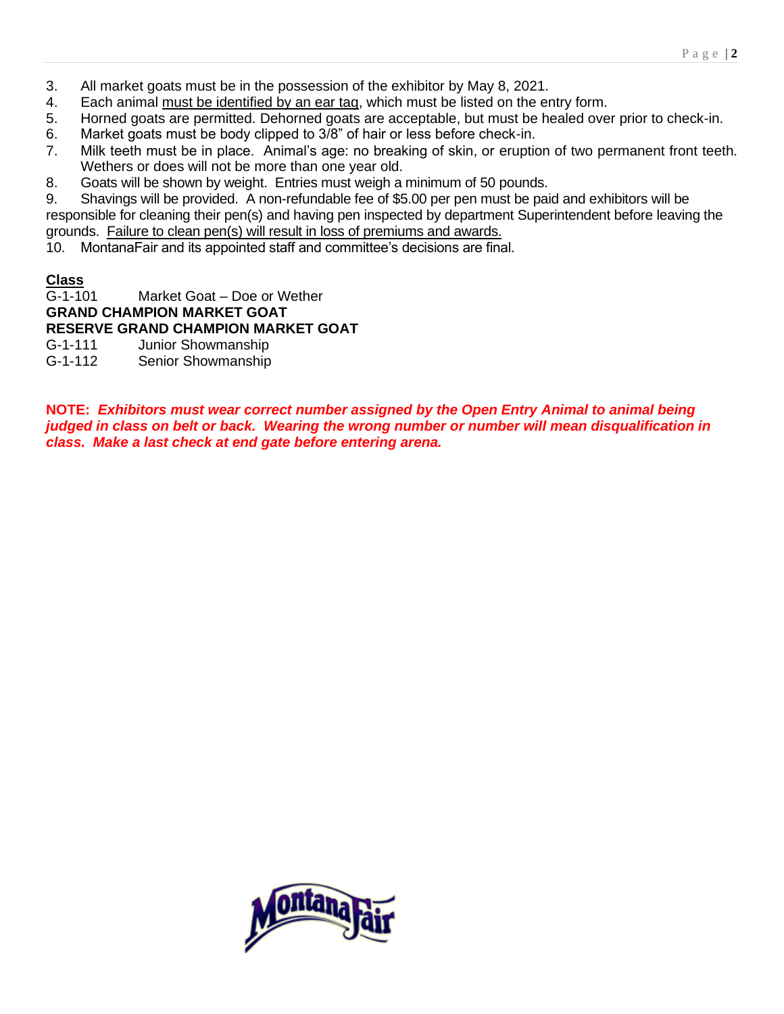- 3. All market goats must be in the possession of the exhibitor by May 8, 2021.
- 4. Each animal must be identified by an ear tag, which must be listed on the entry form.
- 5. Horned goats are permitted. Dehorned goats are acceptable, but must be healed over prior to check-in.
- 6. Market goats must be body clipped to 3/8" of hair or less before check-in.
- 7. Milk teeth must be in place. Animal's age: no breaking of skin, or eruption of two permanent front teeth. Wethers or does will not be more than one year old.
- 8. Goats will be shown by weight. Entries must weigh a minimum of 50 pounds.

9. Shavings will be provided. A non-refundable fee of \$5.00 per pen must be paid and exhibitors will be responsible for cleaning their pen(s) and having pen inspected by department Superintendent before leaving the grounds. Failure to clean pen(s) will result in loss of premiums and awards.

10. MontanaFair and its appointed staff and committee's decisions are final.

#### **Class**

G-1-101 Market Goat – Doe or Wether

## **GRAND CHAMPION MARKET GOAT**

**RESERVE GRAND CHAMPION MARKET GOAT**

- G-1-111 Junior Showmanship
- G-1-112 Senior Showmanship

**NOTE:** *Exhibitors must wear correct number assigned by the Open Entry Animal to animal being judged in class on belt or back. Wearing the wrong number or number will mean disqualification in class. Make a last check at end gate before entering arena.* 

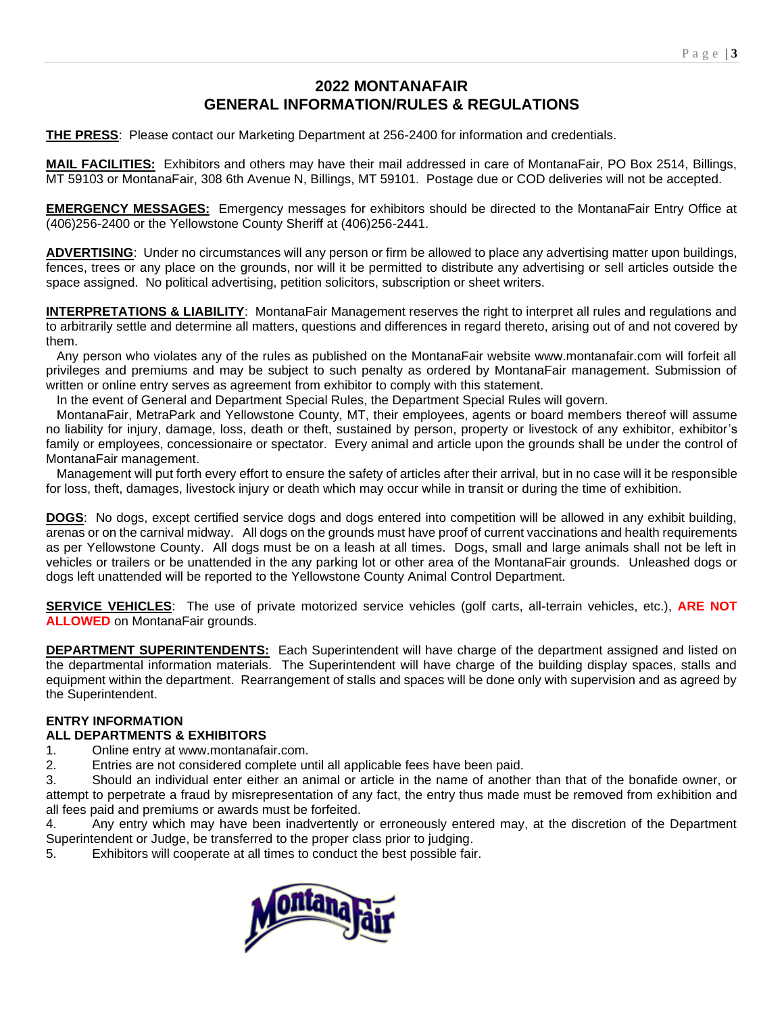## **2022 MONTANAFAIR GENERAL INFORMATION/RULES & REGULATIONS**

**THE PRESS**: Please contact our Marketing Department at 256-2400 for information and credentials.

**MAIL FACILITIES:** Exhibitors and others may have their mail addressed in care of MontanaFair, PO Box 2514, Billings, MT 59103 or MontanaFair, 308 6th Avenue N, Billings, MT 59101. Postage due or COD deliveries will not be accepted.

**EMERGENCY MESSAGES:** Emergency messages for exhibitors should be directed to the MontanaFair Entry Office at (406)256-2400 or the Yellowstone County Sheriff at (406)256-2441.

**ADVERTISING**: Under no circumstances will any person or firm be allowed to place any advertising matter upon buildings, fences, trees or any place on the grounds, nor will it be permitted to distribute any advertising or sell articles outside the space assigned. No political advertising, petition solicitors, subscription or sheet writers.

**INTERPRETATIONS & LIABILITY**: MontanaFair Management reserves the right to interpret all rules and regulations and to arbitrarily settle and determine all matters, questions and differences in regard thereto, arising out of and not covered by them.

 Any person who violates any of the rules as published on the MontanaFair website www.montanafair.com will forfeit all privileges and premiums and may be subject to such penalty as ordered by MontanaFair management. Submission of written or online entry serves as agreement from exhibitor to comply with this statement.

In the event of General and Department Special Rules, the Department Special Rules will govern.

 MontanaFair, MetraPark and Yellowstone County, MT, their employees, agents or board members thereof will assume no liability for injury, damage, loss, death or theft, sustained by person, property or livestock of any exhibitor, exhibitor's family or employees, concessionaire or spectator. Every animal and article upon the grounds shall be under the control of MontanaFair management.

 Management will put forth every effort to ensure the safety of articles after their arrival, but in no case will it be responsible for loss, theft, damages, livestock injury or death which may occur while in transit or during the time of exhibition.

**DOGS**: No dogs, except certified service dogs and dogs entered into competition will be allowed in any exhibit building, arenas or on the carnival midway. All dogs on the grounds must have proof of current vaccinations and health requirements as per Yellowstone County. All dogs must be on a leash at all times. Dogs, small and large animals shall not be left in vehicles or trailers or be unattended in the any parking lot or other area of the MontanaFair grounds. Unleashed dogs or dogs left unattended will be reported to the Yellowstone County Animal Control Department.

**SERVICE VEHICLES**: The use of private motorized service vehicles (golf carts, all-terrain vehicles, etc.), **ARE NOT ALLOWED** on MontanaFair grounds.

**DEPARTMENT SUPERINTENDENTS:** Each Superintendent will have charge of the department assigned and listed on the departmental information materials. The Superintendent will have charge of the building display spaces, stalls and equipment within the department. Rearrangement of stalls and spaces will be done only with supervision and as agreed by the Superintendent.

# **ENTRY INFORMATION**

# **ALL DEPARTMENTS & EXHIBITORS**

1. Online entry at www.montanafair.com.

2. Entries are not considered complete until all applicable fees have been paid.

3. Should an individual enter either an animal or article in the name of another than that of the bonafide owner, or attempt to perpetrate a fraud by misrepresentation of any fact, the entry thus made must be removed from exhibition and all fees paid and premiums or awards must be forfeited.

4. Any entry which may have been inadvertently or erroneously entered may, at the discretion of the Department Superintendent or Judge, be transferred to the proper class prior to judging.

5. Exhibitors will cooperate at all times to conduct the best possible fair.

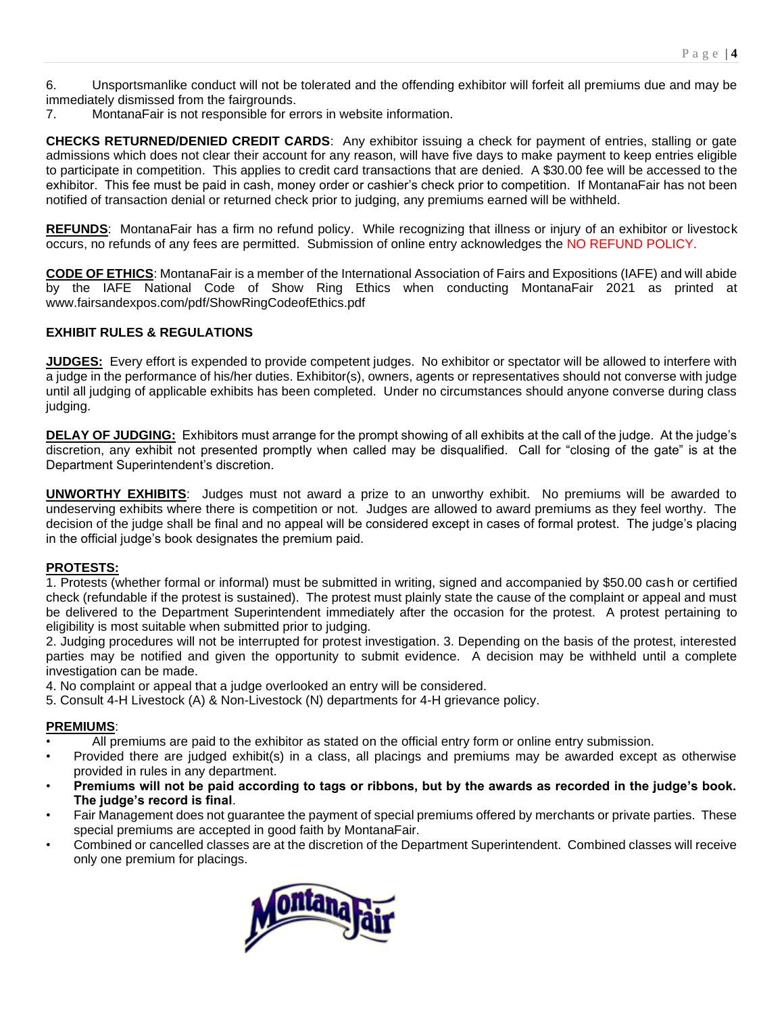6. Unsportsmanlike conduct will not be tolerated and the offending exhibitor will forfeit all premiums due and may be immediately dismissed from the fairgrounds.

7. MontanaFair is not responsible for errors in website information.

**CHECKS RETURNED/DENIED CREDIT CARDS**: Any exhibitor issuing a check for payment of entries, stalling or gate admissions which does not clear their account for any reason, will have five days to make payment to keep entries eligible to participate in competition. This applies to credit card transactions that are denied. A \$30.00 fee will be accessed to the exhibitor. This fee must be paid in cash, money order or cashier's check prior to competition. If MontanaFair has not been notified of transaction denial or returned check prior to judging, any premiums earned will be withheld.

**REFUNDS**: MontanaFair has a firm no refund policy. While recognizing that illness or injury of an exhibitor or livestock occurs, no refunds of any fees are permitted. Submission of online entry acknowledges the NO REFUND POLICY.

**CODE OF ETHICS**: MontanaFair is a member of the International Association of Fairs and Expositions (IAFE) and will abide by the IAFE National Code of Show Ring Ethics when conducting MontanaFair 2021 as printed at www.fairsandexpos.com/pdf/ShowRingCodeofEthics.pdf

#### **EXHIBIT RULES & REGULATIONS**

**JUDGES:** Every effort is expended to provide competent judges. No exhibitor or spectator will be allowed to interfere with a judge in the performance of his/her duties. Exhibitor(s), owners, agents or representatives should not converse with judge until all judging of applicable exhibits has been completed. Under no circumstances should anyone converse during class judging.

**DELAY OF JUDGING:** Exhibitors must arrange for the prompt showing of all exhibits at the call of the judge. At the judge's discretion, any exhibit not presented promptly when called may be disqualified. Call for "closing of the gate" is at the Department Superintendent's discretion.

**UNWORTHY EXHIBITS**: Judges must not award a prize to an unworthy exhibit. No premiums will be awarded to undeserving exhibits where there is competition or not. Judges are allowed to award premiums as they feel worthy. The decision of the judge shall be final and no appeal will be considered except in cases of formal protest. The judge's placing in the official judge's book designates the premium paid.

#### **PROTESTS:**

1. Protests (whether formal or informal) must be submitted in writing, signed and accompanied by \$50.00 cash or certified check (refundable if the protest is sustained). The protest must plainly state the cause of the complaint or appeal and must be delivered to the Department Superintendent immediately after the occasion for the protest. A protest pertaining to eligibility is most suitable when submitted prior to judging.

2. Judging procedures will not be interrupted for protest investigation. 3. Depending on the basis of the protest, interested parties may be notified and given the opportunity to submit evidence. A decision may be withheld until a complete investigation can be made.

4. No complaint or appeal that a judge overlooked an entry will be considered.

5. Consult 4-H Livestock (A) & Non-Livestock (N) departments for 4-H grievance policy.

#### **PREMIUMS**:

- All premiums are paid to the exhibitor as stated on the official entry form or online entry submission.
- Provided there are judged exhibit(s) in a class, all placings and premiums may be awarded except as otherwise provided in rules in any department.
- **Premiums will not be paid according to tags or ribbons, but by the awards as recorded in the judge's book. The judge's record is final**.
- Fair Management does not guarantee the payment of special premiums offered by merchants or private parties. These special premiums are accepted in good faith by MontanaFair.
- Combined or cancelled classes are at the discretion of the Department Superintendent. Combined classes will receive only one premium for placings.